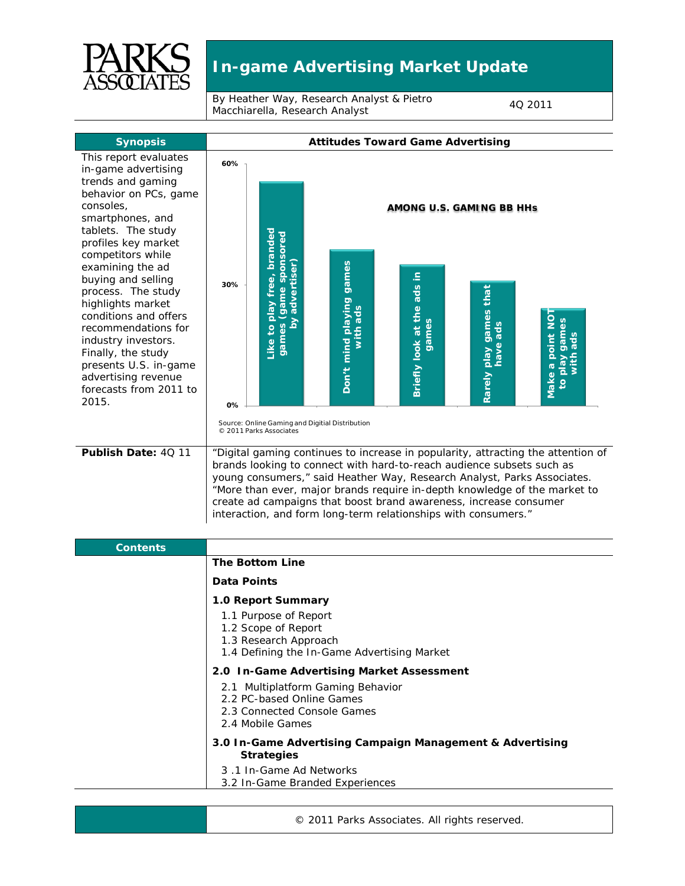

## **In-game Advertising Market Update**

By Heather Way, Research Analyst & Pietro By Heather way, Research Analyst & Pietro<br>Macchiarella, Research Analyst

| <b>Synopsis</b>                                                                                                                                                                                                                                                   | <b>Attitudes Toward Game Advertising</b>                                                                                                                                                                                                                                                                                                                                                                                                                 |                                                                          |                                                 |                                     |                                    |                                                 |
|-------------------------------------------------------------------------------------------------------------------------------------------------------------------------------------------------------------------------------------------------------------------|----------------------------------------------------------------------------------------------------------------------------------------------------------------------------------------------------------------------------------------------------------------------------------------------------------------------------------------------------------------------------------------------------------------------------------------------------------|--------------------------------------------------------------------------|-------------------------------------------------|-------------------------------------|------------------------------------|-------------------------------------------------|
| This report evaluates<br>in-game advertising<br>trends and gaming                                                                                                                                                                                                 | 60%                                                                                                                                                                                                                                                                                                                                                                                                                                                      |                                                                          |                                                 |                                     |                                    |                                                 |
| behavior on PCs, game<br>consoles,<br>smartphones, and<br>tablets. The study<br>profiles key market<br>competitors while                                                                                                                                          |                                                                                                                                                                                                                                                                                                                                                                                                                                                          |                                                                          | AMONG U.S. GAMING BB HHs                        |                                     |                                    |                                                 |
| examining the ad<br>buying and selling<br>process. The study<br>highlights market<br>conditions and offers<br>recommendations for<br>industry investors.<br>Finally, the study<br>presents U.S. in-game<br>advertising revenue<br>forecasts from 2011 to<br>2015. | 30%                                                                                                                                                                                                                                                                                                                                                                                                                                                      | Like to play free, branded<br>(game sponsored<br>by advertiser)<br>games | Don't mind playing games<br>with ads            | Briefly look at the ads in<br>games | Rarely play games that<br>have ads | Make a point NO<br>games<br>with ads<br>Veld of |
|                                                                                                                                                                                                                                                                   | 0%                                                                                                                                                                                                                                                                                                                                                                                                                                                       | © 2011 Parks Associates                                                  | Source: Online Gaming and Digitial Distribution |                                     |                                    |                                                 |
| Publish Date: 4Q 11                                                                                                                                                                                                                                               | "Digital gaming continues to increase in popularity, attracting the attention of<br>brands looking to connect with hard-to-reach audience subsets such as<br>young consumers," said Heather Way, Research Analyst, Parks Associates.<br>"More than ever, major brands require in-depth knowledge of the market to<br>create ad campaigns that boost brand awareness, increase consumer<br>interaction, and form long-term relationships with consumers." |                                                                          |                                                 |                                     |                                    |                                                 |
| <b>Contents</b>                                                                                                                                                                                                                                                   |                                                                                                                                                                                                                                                                                                                                                                                                                                                          |                                                                          |                                                 |                                     |                                    |                                                 |
|                                                                                                                                                                                                                                                                   | <b>The Bottom Line</b>                                                                                                                                                                                                                                                                                                                                                                                                                                   |                                                                          |                                                 |                                     |                                    |                                                 |
|                                                                                                                                                                                                                                                                   | Data Points                                                                                                                                                                                                                                                                                                                                                                                                                                              |                                                                          |                                                 |                                     |                                    |                                                 |
|                                                                                                                                                                                                                                                                   | 1.0 Report Summary<br>1.1 Purpose of Report<br>1.2 Scope of Report<br>1.3 Research Approach<br>1.4 Defining the In-Game Advertising Market                                                                                                                                                                                                                                                                                                               |                                                                          |                                                 |                                     |                                    |                                                 |
|                                                                                                                                                                                                                                                                   | 2.0 In-Game Advertising Market Assessment                                                                                                                                                                                                                                                                                                                                                                                                                |                                                                          |                                                 |                                     |                                    |                                                 |
|                                                                                                                                                                                                                                                                   | 2.1 Multiplatform Gaming Behavior<br>2.2 PC-based Online Games<br>2.3 Connected Console Games<br>2.4 Mobile Games                                                                                                                                                                                                                                                                                                                                        |                                                                          |                                                 |                                     |                                    |                                                 |
|                                                                                                                                                                                                                                                                   | 3.0 In-Game Advertising Campaign Management & Advertising<br><b>Strategies</b>                                                                                                                                                                                                                                                                                                                                                                           |                                                                          |                                                 |                                     |                                    |                                                 |
|                                                                                                                                                                                                                                                                   |                                                                                                                                                                                                                                                                                                                                                                                                                                                          | 3.1 In-Game Ad Networks                                                  | 3.2 In-Game Branded Experiences                 |                                     |                                    |                                                 |

| <b>Contents</b> |                                                                                                                      |
|-----------------|----------------------------------------------------------------------------------------------------------------------|
|                 | <b>The Bottom Line</b>                                                                                               |
|                 | Data Points                                                                                                          |
|                 | 1.0 Report Summary                                                                                                   |
|                 | 1.1 Purpose of Report<br>1.2 Scope of Report<br>1.3 Research Approach<br>1.4 Defining the In-Game Advertising Market |
|                 | 2.0 In-Game Advertising Market Assessment                                                                            |
|                 | 2.1 Multiplatform Gaming Behavior<br>2.2 PC-based Online Games<br>2.3 Connected Console Games<br>2.4 Mobile Games    |
|                 | 3.0 In-Game Advertising Campaign Management & Advertising<br><b>Strategies</b>                                       |
|                 | 3.1 In-Game Ad Networks<br>3.2 In-Game Branded Experiences                                                           |

© 2011 Parks Associates. All rights reserved.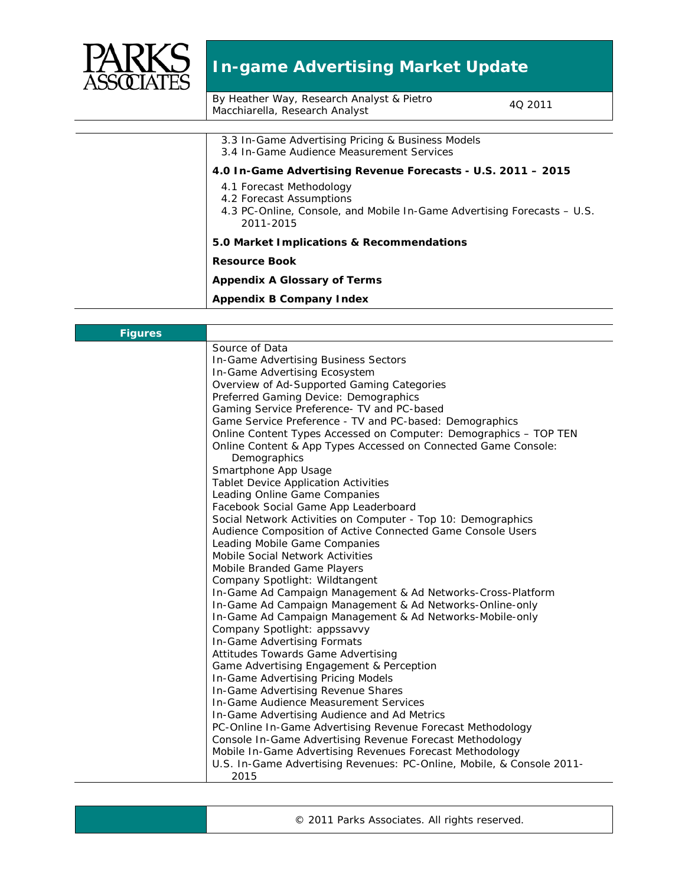

## **In-game Advertising Market Update**

By Heather Way, Research Analyst & Pietro By Heather way, Research Analyst & Pietro<br>Macchiarella, Research Analyst

| 3.3 In-Game Advertising Pricing & Business Models                       |
|-------------------------------------------------------------------------|
| 3.4 In-Game Audience Measurement Services                               |
| 4.0 In-Game Advertising Revenue Forecasts - U.S. 2011 - 2015            |
| 4.1 Forecast Methodology                                                |
| 4.2 Forecast Assumptions                                                |
| 4.3 PC-Online, Console, and Mobile In-Game Advertising Forecasts – U.S. |
| 2011-2015                                                               |
| 5.0 Market Implications & Recommendations                               |
| <b>Resource Book</b>                                                    |
| <b>Appendix A Glossary of Terms</b>                                     |
| Appendix B Company Index                                                |
|                                                                         |

| <b>Figures</b> |                                                                       |
|----------------|-----------------------------------------------------------------------|
|                | Source of Data                                                        |
|                | In-Game Advertising Business Sectors                                  |
|                | In-Game Advertising Ecosystem                                         |
|                | Overview of Ad-Supported Gaming Categories                            |
|                | Preferred Gaming Device: Demographics                                 |
|                | Gaming Service Preference - TV and PC-based                           |
|                | Game Service Preference - TV and PC-based: Demographics               |
|                | Online Content Types Accessed on Computer: Demographics - TOP TEN     |
|                | Online Content & App Types Accessed on Connected Game Console:        |
|                | Demographics                                                          |
|                | Smartphone App Usage                                                  |
|                | <b>Tablet Device Application Activities</b>                           |
|                | Leading Online Game Companies                                         |
|                | Facebook Social Game App Leaderboard                                  |
|                | Social Network Activities on Computer - Top 10: Demographics          |
|                | Audience Composition of Active Connected Game Console Users           |
|                | Leading Mobile Game Companies                                         |
|                | <b>Mobile Social Network Activities</b>                               |
|                | Mobile Branded Game Players                                           |
|                | Company Spotlight: Wildtangent                                        |
|                | In-Game Ad Campaign Management & Ad Networks-Cross-Platform           |
|                | In-Game Ad Campaign Management & Ad Networks-Online-only              |
|                | In-Game Ad Campaign Management & Ad Networks-Mobile-only              |
|                | Company Spotlight: appssavvy                                          |
|                | In-Game Advertising Formats                                           |
|                | Attitudes Towards Game Advertising                                    |
|                | Game Advertising Engagement & Perception                              |
|                | In-Game Advertising Pricing Models                                    |
|                | In-Game Advertising Revenue Shares                                    |
|                | In-Game Audience Measurement Services                                 |
|                | In-Game Advertising Audience and Ad Metrics                           |
|                | PC-Online In-Game Advertising Revenue Forecast Methodology            |
|                | Console In-Game Advertising Revenue Forecast Methodology              |
|                | Mobile In-Game Advertising Revenues Forecast Methodology              |
|                | U.S. In-Game Advertising Revenues: PC-Online, Mobile, & Console 2011- |
|                | 2015                                                                  |